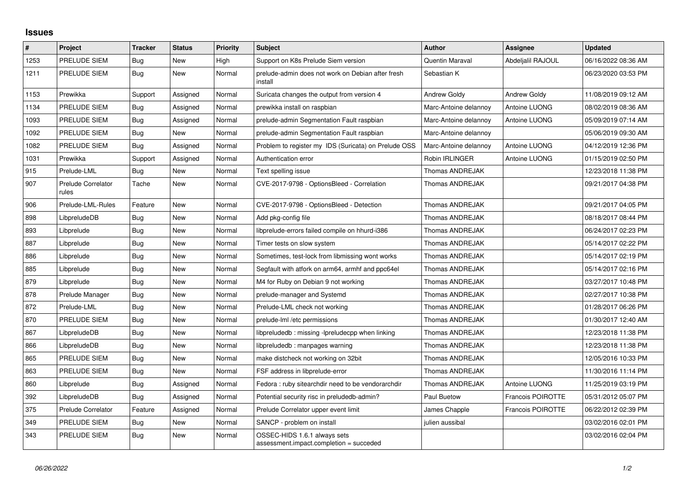## **Issues**

| $\pmb{\sharp}$ | Project                            | <b>Tracker</b> | <b>Status</b> | <b>Priority</b> | <b>Subject</b>                                                          | <b>Author</b>         | Assignee                 | <b>Updated</b>      |
|----------------|------------------------------------|----------------|---------------|-----------------|-------------------------------------------------------------------------|-----------------------|--------------------------|---------------------|
| 1253           | PRELUDE SIEM                       | Bug            | New           | High            | Support on K8s Prelude Siem version                                     | Quentin Maraval       | Abdeljalil RAJOUL        | 06/16/2022 08:36 AM |
| 1211           | PRELUDE SIEM                       | Bug            | <b>New</b>    | Normal          | prelude-admin does not work on Debian after fresh<br>install            | Sebastian K           |                          | 06/23/2020 03:53 PM |
| 1153           | Prewikka                           | Support        | Assigned      | Normal          | Suricata changes the output from version 4                              | <b>Andrew Goldy</b>   | <b>Andrew Goldy</b>      | 11/08/2019 09:12 AM |
| 1134           | PRELUDE SIEM                       | Bug            | Assigned      | Normal          | prewikka install on raspbian                                            | Marc-Antoine delannoy | Antoine LUONG            | 08/02/2019 08:36 AM |
| 1093           | PRELUDE SIEM                       | Bug            | Assigned      | Normal          | prelude-admin Segmentation Fault raspbian                               | Marc-Antoine delannoy | Antoine LUONG            | 05/09/2019 07:14 AM |
| 1092           | PRELUDE SIEM                       | Bug            | New           | Normal          | prelude-admin Segmentation Fault raspbian                               | Marc-Antoine delannoy |                          | 05/06/2019 09:30 AM |
| 1082           | PRELUDE SIEM                       | Bug            | Assigned      | Normal          | Problem to register my IDS (Suricata) on Prelude OSS                    | Marc-Antoine delannoy | Antoine LUONG            | 04/12/2019 12:36 PM |
| 1031           | Prewikka                           | Support        | Assigned      | Normal          | Authentication error                                                    | Robin IRLINGER        | Antoine LUONG            | 01/15/2019 02:50 PM |
| 915            | Prelude-LML                        | Bug            | New           | Normal          | Text spelling issue                                                     | Thomas ANDREJAK       |                          | 12/23/2018 11:38 PM |
| 907            | <b>Prelude Correlator</b><br>rules | Tache          | New           | Normal          | CVE-2017-9798 - OptionsBleed - Correlation                              | Thomas ANDREJAK       |                          | 09/21/2017 04:38 PM |
| 906            | Prelude-LML-Rules                  | Feature        | <b>New</b>    | Normal          | CVE-2017-9798 - OptionsBleed - Detection                                | Thomas ANDREJAK       |                          | 09/21/2017 04:05 PM |
| 898            | LibpreludeDB                       | Bug            | <b>New</b>    | Normal          | Add pkg-config file                                                     | Thomas ANDREJAK       |                          | 08/18/2017 08:44 PM |
| 893            | Libprelude                         | Bug            | New           | Normal          | libprelude-errors failed compile on hhurd-i386                          | Thomas ANDREJAK       |                          | 06/24/2017 02:23 PM |
| 887            | Libprelude                         | Bug            | <b>New</b>    | Normal          | Timer tests on slow system                                              | Thomas ANDREJAK       |                          | 05/14/2017 02:22 PM |
| 886            | Libprelude                         | Bug            | New           | Normal          | Sometimes, test-lock from libmissing wont works                         | Thomas ANDREJAK       |                          | 05/14/2017 02:19 PM |
| 885            | Libprelude                         | Bug            | <b>New</b>    | Normal          | Segfault with atfork on arm64, armhf and ppc64el                        | Thomas ANDREJAK       |                          | 05/14/2017 02:16 PM |
| 879            | Libprelude                         | <b>Bug</b>     | <b>New</b>    | Normal          | M4 for Ruby on Debian 9 not working                                     | Thomas ANDREJAK       |                          | 03/27/2017 10:48 PM |
| 878            | Prelude Manager                    | Bug            | New           | Normal          | prelude-manager and Systemd                                             | Thomas ANDREJAK       |                          | 02/27/2017 10:38 PM |
| 872            | Prelude-LML                        | Bug            | <b>New</b>    | Normal          | Prelude-LML check not working                                           | Thomas ANDREJAK       |                          | 01/28/2017 06:26 PM |
| 870            | PRELUDE SIEM                       | Bug            | New           | Normal          | prelude-lml /etc permissions                                            | Thomas ANDREJAK       |                          | 01/30/2017 12:40 AM |
| 867            | LibpreludeDB                       | <b>Bug</b>     | <b>New</b>    | Normal          | libpreludedb: missing -lpreludecpp when linking                         | Thomas ANDREJAK       |                          | 12/23/2018 11:38 PM |
| 866            | LibpreludeDB                       | Bug            | New           | Normal          | libpreludedb: manpages warning                                          | Thomas ANDREJAK       |                          | 12/23/2018 11:38 PM |
| 865            | PRELUDE SIEM                       | Bug            | New           | Normal          | make distcheck not working on 32bit                                     | Thomas ANDREJAK       |                          | 12/05/2016 10:33 PM |
| 863            | PRELUDE SIEM                       | Bug            | <b>New</b>    | Normal          | FSF address in libprelude-error                                         | Thomas ANDREJAK       |                          | 11/30/2016 11:14 PM |
| 860            | Libprelude                         | Bug            | Assigned      | Normal          | Fedora: ruby sitearchdir need to be vendorarchdir                       | Thomas ANDREJAK       | Antoine LUONG            | 11/25/2019 03:19 PM |
| 392            | LibpreludeDB                       | <b>Bug</b>     | Assigned      | Normal          | Potential security risc in preludedb-admin?                             | Paul Buetow           | Francois POIROTTE        | 05/31/2012 05:07 PM |
| 375            | <b>Prelude Correlator</b>          | Feature        | Assigned      | Normal          | Prelude Correlator upper event limit                                    | James Chapple         | <b>Francois POIROTTE</b> | 06/22/2012 02:39 PM |
| 349            | PRELUDE SIEM                       | <b>Bug</b>     | New           | Normal          | SANCP - problem on install                                              | julien aussibal       |                          | 03/02/2016 02:01 PM |
| 343            | PRELUDE SIEM                       | <b>Bug</b>     | <b>New</b>    | Normal          | OSSEC-HIDS 1.6.1 always sets<br>assessment.impact.completion = succeded |                       |                          | 03/02/2016 02:04 PM |